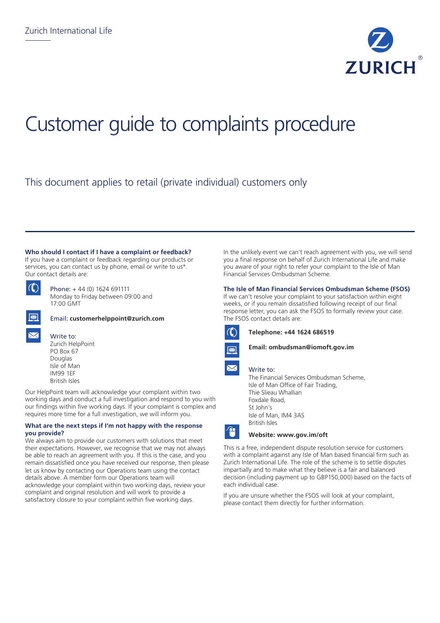

# Customer guide to complaints procedure

This document applies to retail (private individual) customers only

#### **Who should I contact if I have a complaint or feedback?**

If you have a complaint or feedback regarding our products or services, you can contact us by phone, email or write to us\*. Our contact details are:

|--|

Phone: + 44 (0) 1624 691111 Monday to Friday between 09:00 and 17:00 GMT

Email: **customerhelppoint@zurich.com**





Write to: Zurich HelpPoint

PO Box 67 Douglas Isle of Man IM99 1EF British Isles

Our HelpPoint team will acknowledge your complaint within two working days and conduct a full investigation and respond to you with our findings within five working days. If your complaint is complex and requires more time for a full investigation, we will inform you.

### **What are the next steps if I'm not happy with the response you provide?**

We always aim to provide our customers with solutions that meet their expectations. However, we recognise that we may not always be able to reach an agreement with you. If this is the case, and you remain dissatisfied once you have received our response, then please let us know by contacting our Operations team using the contact details above. A member form our Operations team will acknowledge your complaint within two working days, review your complaint and original resolution and will work to provide a satisfactory closure to your complaint within five working days.

In the unlikely event we can't reach agreement with you, we will send you a final response on behalf of Zurich International Life and make you aware of your right to refer your complaint to the Isle of Man Financial Services Ombudsman Scheme.

## **The Isle of Man Financial Services Ombudsman Scheme (FSOS)**

If we can't resolve your complaint to your satisfaction within eight weeks, or if you remain dissatisfied following receipt of our final response letter, you can ask the FSOS to formally review your case. The FSOS contact details are:



Ĥ

**Telephone: +44 1624 686519**



### Write to:

The Financial Services Ombudsman Scheme, Isle of Man Office of Fair Trading, Thie Slieau Whallian Foxdale Road, St John's Isle of Man, IM4 3AS British Isles

### **Website: www.gov.im/oft**

This is a free, independent dispute resolution service for customers with a complaint against any Isle of Man based financial firm such as Zurich International Life. The role of the scheme is to settle disputes impartially and to make what they believe is a fair and balanced decision (including payment up to GBP150,000) based on the facts of each individual case.

If you are unsure whether the FSOS will look at your complaint, please contact them directly for further information.